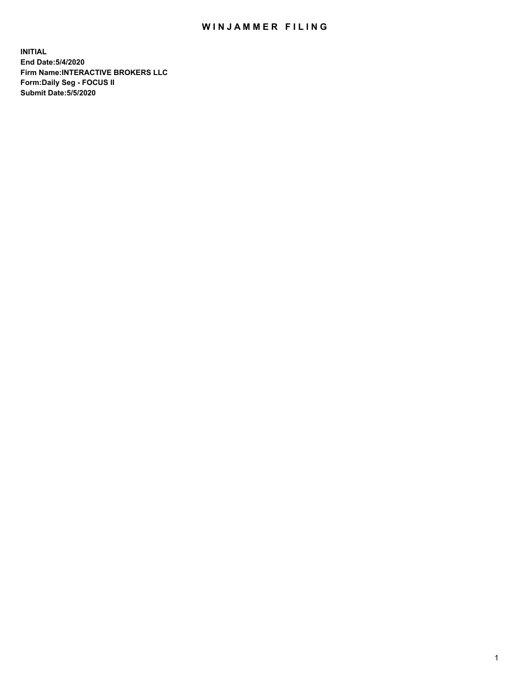## WIN JAMMER FILING

**INITIAL End Date:5/4/2020 Firm Name:INTERACTIVE BROKERS LLC Form:Daily Seg - FOCUS II Submit Date:5/5/2020**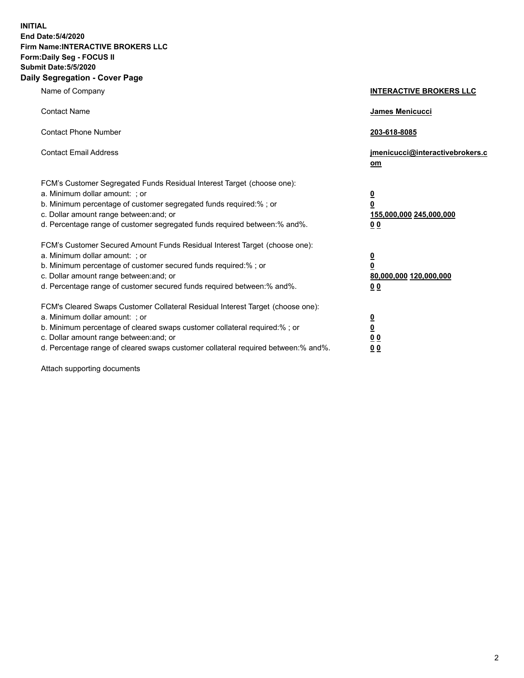**INITIAL End Date:5/4/2020 Firm Name:INTERACTIVE BROKERS LLC Form:Daily Seg - FOCUS II Submit Date:5/5/2020 Daily Segregation - Cover Page**

| Name of Company                                                                                                                                                                                                                                                                                                                | <b>INTERACTIVE BROKERS LLC</b>                                                                 |
|--------------------------------------------------------------------------------------------------------------------------------------------------------------------------------------------------------------------------------------------------------------------------------------------------------------------------------|------------------------------------------------------------------------------------------------|
| <b>Contact Name</b>                                                                                                                                                                                                                                                                                                            | <b>James Menicucci</b>                                                                         |
| <b>Contact Phone Number</b>                                                                                                                                                                                                                                                                                                    | 203-618-8085                                                                                   |
| <b>Contact Email Address</b>                                                                                                                                                                                                                                                                                                   | jmenicucci@interactivebrokers.c<br>om                                                          |
| FCM's Customer Segregated Funds Residual Interest Target (choose one):<br>a. Minimum dollar amount: ; or<br>b. Minimum percentage of customer segregated funds required:% ; or<br>c. Dollar amount range between: and; or<br>d. Percentage range of customer segregated funds required between:% and%.                         | <u>0</u><br>$\overline{\mathbf{0}}$<br>155,000,000 245,000,000<br>0 <sub>0</sub>               |
| FCM's Customer Secured Amount Funds Residual Interest Target (choose one):<br>a. Minimum dollar amount: ; or<br>b. Minimum percentage of customer secured funds required:% ; or<br>c. Dollar amount range between: and; or<br>d. Percentage range of customer secured funds required between:% and%.                           | $\overline{\mathbf{0}}$<br>$\overline{\mathbf{0}}$<br>80,000,000 120,000,000<br>0 <sub>0</sub> |
| FCM's Cleared Swaps Customer Collateral Residual Interest Target (choose one):<br>a. Minimum dollar amount: ; or<br>b. Minimum percentage of cleared swaps customer collateral required:% ; or<br>c. Dollar amount range between: and; or<br>d. Percentage range of cleared swaps customer collateral required between:% and%. | $\overline{\mathbf{0}}$<br><u>0</u><br>$\underline{0}$ $\underline{0}$<br>00                   |

Attach supporting documents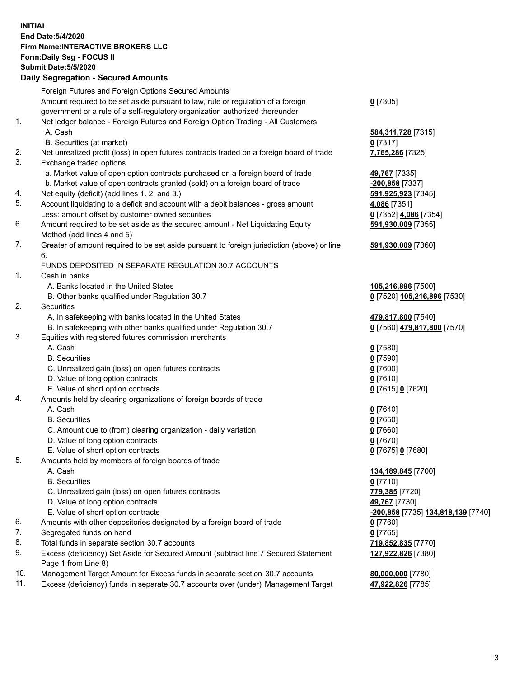## **INITIAL End Date:5/4/2020 Firm Name:INTERACTIVE BROKERS LLC Form:Daily Seg - FOCUS II Submit Date:5/5/2020 Daily Segregation - Secured Amounts**

|     | Dany Ocgregation - Occarea Anioante                                                                        |                                                 |
|-----|------------------------------------------------------------------------------------------------------------|-------------------------------------------------|
|     | Foreign Futures and Foreign Options Secured Amounts                                                        |                                                 |
|     | Amount required to be set aside pursuant to law, rule or regulation of a foreign                           | $0$ [7305]                                      |
|     | government or a rule of a self-regulatory organization authorized thereunder                               |                                                 |
| 1.  | Net ledger balance - Foreign Futures and Foreign Option Trading - All Customers                            |                                                 |
|     | A. Cash                                                                                                    | 584, 311, 728 [7315]                            |
|     | B. Securities (at market)                                                                                  | $0$ [7317]                                      |
| 2.  | Net unrealized profit (loss) in open futures contracts traded on a foreign board of trade                  | 7,765,286 [7325]                                |
| 3.  | Exchange traded options                                                                                    |                                                 |
|     | a. Market value of open option contracts purchased on a foreign board of trade                             | 49,767 [7335]                                   |
|     | b. Market value of open contracts granted (sold) on a foreign board of trade                               | <mark>-200,858</mark> [7337]                    |
| 4.  | Net equity (deficit) (add lines 1. 2. and 3.)                                                              | 591,925,923 [7345]                              |
| 5.  | Account liquidating to a deficit and account with a debit balances - gross amount                          | 4,086 [7351]                                    |
|     | Less: amount offset by customer owned securities                                                           | 0 [7352] 4,086 [7354]                           |
| 6.  | Amount required to be set aside as the secured amount - Net Liquidating Equity                             | 591,930,009 [7355]                              |
|     | Method (add lines 4 and 5)                                                                                 |                                                 |
| 7.  | Greater of amount required to be set aside pursuant to foreign jurisdiction (above) or line                | 591,930,009 [7360]                              |
|     | 6.                                                                                                         |                                                 |
|     | FUNDS DEPOSITED IN SEPARATE REGULATION 30.7 ACCOUNTS                                                       |                                                 |
| 1.  | Cash in banks                                                                                              |                                                 |
|     | A. Banks located in the United States                                                                      | 105,216,896 [7500]                              |
|     | B. Other banks qualified under Regulation 30.7                                                             | 0 [7520] 105,216,896 [7530]                     |
| 2.  | Securities                                                                                                 |                                                 |
|     | A. In safekeeping with banks located in the United States                                                  | 479,817,800 [7540]                              |
|     | B. In safekeeping with other banks qualified under Regulation 30.7                                         | 0 [7560] 479,817,800 [7570]                     |
| 3.  | Equities with registered futures commission merchants                                                      |                                                 |
|     | A. Cash                                                                                                    | $0$ [7580]                                      |
|     | <b>B.</b> Securities                                                                                       | $0$ [7590]                                      |
|     | C. Unrealized gain (loss) on open futures contracts                                                        | $0$ [7600]                                      |
|     | D. Value of long option contracts                                                                          | $0$ [7610]                                      |
|     | E. Value of short option contracts                                                                         | 0 [7615] 0 [7620]                               |
| 4.  | Amounts held by clearing organizations of foreign boards of trade                                          |                                                 |
|     | A. Cash                                                                                                    | $0$ [7640]                                      |
|     | <b>B.</b> Securities                                                                                       | $0$ [7650]                                      |
|     | C. Amount due to (from) clearing organization - daily variation                                            | $0$ [7660]                                      |
|     | D. Value of long option contracts                                                                          | $0$ [7670]                                      |
|     | E. Value of short option contracts                                                                         | 0 [7675] 0 [7680]                               |
| 5.  | Amounts held by members of foreign boards of trade                                                         |                                                 |
|     | A. Cash                                                                                                    | 134,189,845 [7700]                              |
|     | <b>B.</b> Securities                                                                                       | $0$ [7710]                                      |
|     | C. Unrealized gain (loss) on open futures contracts                                                        | 779,385 [7720]                                  |
|     | D. Value of long option contracts                                                                          | 49,767 [7730]                                   |
|     | E. Value of short option contracts                                                                         | <mark>-200,858</mark> [7735] 134,818,139 [7740] |
| 6.  | Amounts with other depositories designated by a foreign board of trade                                     | $0$ [7760]                                      |
| 7.  | Segregated funds on hand                                                                                   | $0$ [7765]                                      |
| 8.  | Total funds in separate section 30.7 accounts                                                              | 719,852,835 [7770]                              |
| 9.  | Excess (deficiency) Set Aside for Secured Amount (subtract line 7 Secured Statement<br>Page 1 from Line 8) | 127,922,826 [7380]                              |
| 10. | Management Target Amount for Excess funds in separate section 30.7 accounts                                | 80,000,000 [7780]                               |
| 11. | Excess (deficiency) funds in separate 30.7 accounts over (under) Management Target                         | 47,922,826 [7785]                               |
|     |                                                                                                            |                                                 |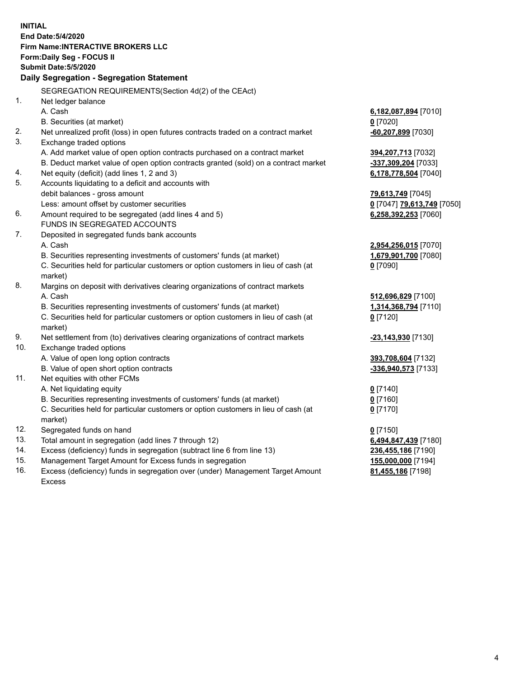| End Date: 5/4/2020<br><b>Firm Name:INTERACTIVE BROKERS LLC</b><br>Form: Daily Seg - FOCUS II<br><b>Submit Date: 5/5/2020</b><br>Daily Segregation - Segregation Statement<br>SEGREGATION REQUIREMENTS(Section 4d(2) of the CEAct)<br>1.<br>Net ledger balance<br>A. Cash<br>6,182,087,894 [7010]<br>B. Securities (at market)<br>$0$ [7020]<br>2.<br>Net unrealized profit (loss) in open futures contracts traded on a contract market<br>-60,207,899 [7030]<br>3.<br>Exchange traded options<br>A. Add market value of open option contracts purchased on a contract market<br>394,207,713 [7032]<br>B. Deduct market value of open option contracts granted (sold) on a contract market<br>-337,309,204 [7033]<br>Net equity (deficit) (add lines 1, 2 and 3)<br>4.<br>6,178,778,504 [7040]<br>5.<br>Accounts liquidating to a deficit and accounts with<br>debit balances - gross amount<br>79,613,749 [7045]<br>Less: amount offset by customer securities<br>0 [7047] 79,613,749 [7050]<br>Amount required to be segregated (add lines 4 and 5)<br>6.<br>6,258,392,253 [7060]<br><b>FUNDS IN SEGREGATED ACCOUNTS</b><br>7.<br>Deposited in segregated funds bank accounts<br>A. Cash<br>2,954,256,015 [7070]<br>B. Securities representing investments of customers' funds (at market)<br>1,679,901,700 [7080]<br>C. Securities held for particular customers or option customers in lieu of cash (at<br>$0$ [7090]<br>market)<br>8.<br>Margins on deposit with derivatives clearing organizations of contract markets<br>A. Cash<br>512,696,829 [7100]<br>B. Securities representing investments of customers' funds (at market)<br>1,314,368,794 [7110]<br>C. Securities held for particular customers or option customers in lieu of cash (at<br>$0$ [7120] |
|----------------------------------------------------------------------------------------------------------------------------------------------------------------------------------------------------------------------------------------------------------------------------------------------------------------------------------------------------------------------------------------------------------------------------------------------------------------------------------------------------------------------------------------------------------------------------------------------------------------------------------------------------------------------------------------------------------------------------------------------------------------------------------------------------------------------------------------------------------------------------------------------------------------------------------------------------------------------------------------------------------------------------------------------------------------------------------------------------------------------------------------------------------------------------------------------------------------------------------------------------------------------------------------------------------------------------------------------------------------------------------------------------------------------------------------------------------------------------------------------------------------------------------------------------------------------------------------------------------------------------------------------------------------------------------------------------------------------------------------------------------------------|
|                                                                                                                                                                                                                                                                                                                                                                                                                                                                                                                                                                                                                                                                                                                                                                                                                                                                                                                                                                                                                                                                                                                                                                                                                                                                                                                                                                                                                                                                                                                                                                                                                                                                                                                                                                      |
|                                                                                                                                                                                                                                                                                                                                                                                                                                                                                                                                                                                                                                                                                                                                                                                                                                                                                                                                                                                                                                                                                                                                                                                                                                                                                                                                                                                                                                                                                                                                                                                                                                                                                                                                                                      |
|                                                                                                                                                                                                                                                                                                                                                                                                                                                                                                                                                                                                                                                                                                                                                                                                                                                                                                                                                                                                                                                                                                                                                                                                                                                                                                                                                                                                                                                                                                                                                                                                                                                                                                                                                                      |
|                                                                                                                                                                                                                                                                                                                                                                                                                                                                                                                                                                                                                                                                                                                                                                                                                                                                                                                                                                                                                                                                                                                                                                                                                                                                                                                                                                                                                                                                                                                                                                                                                                                                                                                                                                      |
|                                                                                                                                                                                                                                                                                                                                                                                                                                                                                                                                                                                                                                                                                                                                                                                                                                                                                                                                                                                                                                                                                                                                                                                                                                                                                                                                                                                                                                                                                                                                                                                                                                                                                                                                                                      |
|                                                                                                                                                                                                                                                                                                                                                                                                                                                                                                                                                                                                                                                                                                                                                                                                                                                                                                                                                                                                                                                                                                                                                                                                                                                                                                                                                                                                                                                                                                                                                                                                                                                                                                                                                                      |
|                                                                                                                                                                                                                                                                                                                                                                                                                                                                                                                                                                                                                                                                                                                                                                                                                                                                                                                                                                                                                                                                                                                                                                                                                                                                                                                                                                                                                                                                                                                                                                                                                                                                                                                                                                      |
|                                                                                                                                                                                                                                                                                                                                                                                                                                                                                                                                                                                                                                                                                                                                                                                                                                                                                                                                                                                                                                                                                                                                                                                                                                                                                                                                                                                                                                                                                                                                                                                                                                                                                                                                                                      |
|                                                                                                                                                                                                                                                                                                                                                                                                                                                                                                                                                                                                                                                                                                                                                                                                                                                                                                                                                                                                                                                                                                                                                                                                                                                                                                                                                                                                                                                                                                                                                                                                                                                                                                                                                                      |
|                                                                                                                                                                                                                                                                                                                                                                                                                                                                                                                                                                                                                                                                                                                                                                                                                                                                                                                                                                                                                                                                                                                                                                                                                                                                                                                                                                                                                                                                                                                                                                                                                                                                                                                                                                      |
|                                                                                                                                                                                                                                                                                                                                                                                                                                                                                                                                                                                                                                                                                                                                                                                                                                                                                                                                                                                                                                                                                                                                                                                                                                                                                                                                                                                                                                                                                                                                                                                                                                                                                                                                                                      |
|                                                                                                                                                                                                                                                                                                                                                                                                                                                                                                                                                                                                                                                                                                                                                                                                                                                                                                                                                                                                                                                                                                                                                                                                                                                                                                                                                                                                                                                                                                                                                                                                                                                                                                                                                                      |
|                                                                                                                                                                                                                                                                                                                                                                                                                                                                                                                                                                                                                                                                                                                                                                                                                                                                                                                                                                                                                                                                                                                                                                                                                                                                                                                                                                                                                                                                                                                                                                                                                                                                                                                                                                      |
|                                                                                                                                                                                                                                                                                                                                                                                                                                                                                                                                                                                                                                                                                                                                                                                                                                                                                                                                                                                                                                                                                                                                                                                                                                                                                                                                                                                                                                                                                                                                                                                                                                                                                                                                                                      |
|                                                                                                                                                                                                                                                                                                                                                                                                                                                                                                                                                                                                                                                                                                                                                                                                                                                                                                                                                                                                                                                                                                                                                                                                                                                                                                                                                                                                                                                                                                                                                                                                                                                                                                                                                                      |
|                                                                                                                                                                                                                                                                                                                                                                                                                                                                                                                                                                                                                                                                                                                                                                                                                                                                                                                                                                                                                                                                                                                                                                                                                                                                                                                                                                                                                                                                                                                                                                                                                                                                                                                                                                      |
|                                                                                                                                                                                                                                                                                                                                                                                                                                                                                                                                                                                                                                                                                                                                                                                                                                                                                                                                                                                                                                                                                                                                                                                                                                                                                                                                                                                                                                                                                                                                                                                                                                                                                                                                                                      |
|                                                                                                                                                                                                                                                                                                                                                                                                                                                                                                                                                                                                                                                                                                                                                                                                                                                                                                                                                                                                                                                                                                                                                                                                                                                                                                                                                                                                                                                                                                                                                                                                                                                                                                                                                                      |
|                                                                                                                                                                                                                                                                                                                                                                                                                                                                                                                                                                                                                                                                                                                                                                                                                                                                                                                                                                                                                                                                                                                                                                                                                                                                                                                                                                                                                                                                                                                                                                                                                                                                                                                                                                      |
|                                                                                                                                                                                                                                                                                                                                                                                                                                                                                                                                                                                                                                                                                                                                                                                                                                                                                                                                                                                                                                                                                                                                                                                                                                                                                                                                                                                                                                                                                                                                                                                                                                                                                                                                                                      |
|                                                                                                                                                                                                                                                                                                                                                                                                                                                                                                                                                                                                                                                                                                                                                                                                                                                                                                                                                                                                                                                                                                                                                                                                                                                                                                                                                                                                                                                                                                                                                                                                                                                                                                                                                                      |
|                                                                                                                                                                                                                                                                                                                                                                                                                                                                                                                                                                                                                                                                                                                                                                                                                                                                                                                                                                                                                                                                                                                                                                                                                                                                                                                                                                                                                                                                                                                                                                                                                                                                                                                                                                      |
|                                                                                                                                                                                                                                                                                                                                                                                                                                                                                                                                                                                                                                                                                                                                                                                                                                                                                                                                                                                                                                                                                                                                                                                                                                                                                                                                                                                                                                                                                                                                                                                                                                                                                                                                                                      |
|                                                                                                                                                                                                                                                                                                                                                                                                                                                                                                                                                                                                                                                                                                                                                                                                                                                                                                                                                                                                                                                                                                                                                                                                                                                                                                                                                                                                                                                                                                                                                                                                                                                                                                                                                                      |
|                                                                                                                                                                                                                                                                                                                                                                                                                                                                                                                                                                                                                                                                                                                                                                                                                                                                                                                                                                                                                                                                                                                                                                                                                                                                                                                                                                                                                                                                                                                                                                                                                                                                                                                                                                      |
|                                                                                                                                                                                                                                                                                                                                                                                                                                                                                                                                                                                                                                                                                                                                                                                                                                                                                                                                                                                                                                                                                                                                                                                                                                                                                                                                                                                                                                                                                                                                                                                                                                                                                                                                                                      |
|                                                                                                                                                                                                                                                                                                                                                                                                                                                                                                                                                                                                                                                                                                                                                                                                                                                                                                                                                                                                                                                                                                                                                                                                                                                                                                                                                                                                                                                                                                                                                                                                                                                                                                                                                                      |
|                                                                                                                                                                                                                                                                                                                                                                                                                                                                                                                                                                                                                                                                                                                                                                                                                                                                                                                                                                                                                                                                                                                                                                                                                                                                                                                                                                                                                                                                                                                                                                                                                                                                                                                                                                      |
| market)                                                                                                                                                                                                                                                                                                                                                                                                                                                                                                                                                                                                                                                                                                                                                                                                                                                                                                                                                                                                                                                                                                                                                                                                                                                                                                                                                                                                                                                                                                                                                                                                                                                                                                                                                              |
| 9.<br>Net settlement from (to) derivatives clearing organizations of contract markets<br>-23,143,930 [7130]                                                                                                                                                                                                                                                                                                                                                                                                                                                                                                                                                                                                                                                                                                                                                                                                                                                                                                                                                                                                                                                                                                                                                                                                                                                                                                                                                                                                                                                                                                                                                                                                                                                          |
| 10.<br>Exchange traded options                                                                                                                                                                                                                                                                                                                                                                                                                                                                                                                                                                                                                                                                                                                                                                                                                                                                                                                                                                                                                                                                                                                                                                                                                                                                                                                                                                                                                                                                                                                                                                                                                                                                                                                                       |
| A. Value of open long option contracts<br>393,708,604 [7132]                                                                                                                                                                                                                                                                                                                                                                                                                                                                                                                                                                                                                                                                                                                                                                                                                                                                                                                                                                                                                                                                                                                                                                                                                                                                                                                                                                                                                                                                                                                                                                                                                                                                                                         |
| B. Value of open short option contracts<br>-336,940,573 [7133]                                                                                                                                                                                                                                                                                                                                                                                                                                                                                                                                                                                                                                                                                                                                                                                                                                                                                                                                                                                                                                                                                                                                                                                                                                                                                                                                                                                                                                                                                                                                                                                                                                                                                                       |
| 11.<br>Net equities with other FCMs                                                                                                                                                                                                                                                                                                                                                                                                                                                                                                                                                                                                                                                                                                                                                                                                                                                                                                                                                                                                                                                                                                                                                                                                                                                                                                                                                                                                                                                                                                                                                                                                                                                                                                                                  |
| A. Net liquidating equity<br>$0$ [7140]                                                                                                                                                                                                                                                                                                                                                                                                                                                                                                                                                                                                                                                                                                                                                                                                                                                                                                                                                                                                                                                                                                                                                                                                                                                                                                                                                                                                                                                                                                                                                                                                                                                                                                                              |
| B. Securities representing investments of customers' funds (at market)<br>0 [7160]<br>C. Securities held for particular customers or option customers in lieu of cash (at                                                                                                                                                                                                                                                                                                                                                                                                                                                                                                                                                                                                                                                                                                                                                                                                                                                                                                                                                                                                                                                                                                                                                                                                                                                                                                                                                                                                                                                                                                                                                                                            |
| $0$ [7170]<br>market)                                                                                                                                                                                                                                                                                                                                                                                                                                                                                                                                                                                                                                                                                                                                                                                                                                                                                                                                                                                                                                                                                                                                                                                                                                                                                                                                                                                                                                                                                                                                                                                                                                                                                                                                                |
| 12.<br>Segregated funds on hand<br>$0$ [7150]                                                                                                                                                                                                                                                                                                                                                                                                                                                                                                                                                                                                                                                                                                                                                                                                                                                                                                                                                                                                                                                                                                                                                                                                                                                                                                                                                                                                                                                                                                                                                                                                                                                                                                                        |
| 13.<br>Total amount in segregation (add lines 7 through 12)<br>6,494,847,439 [7180]                                                                                                                                                                                                                                                                                                                                                                                                                                                                                                                                                                                                                                                                                                                                                                                                                                                                                                                                                                                                                                                                                                                                                                                                                                                                                                                                                                                                                                                                                                                                                                                                                                                                                  |
| 14.<br>Excess (deficiency) funds in segregation (subtract line 6 from line 13)<br>236,455,186 [7190]                                                                                                                                                                                                                                                                                                                                                                                                                                                                                                                                                                                                                                                                                                                                                                                                                                                                                                                                                                                                                                                                                                                                                                                                                                                                                                                                                                                                                                                                                                                                                                                                                                                                 |
| 15.<br>Management Target Amount for Excess funds in segregation<br>155,000,000 [7194]                                                                                                                                                                                                                                                                                                                                                                                                                                                                                                                                                                                                                                                                                                                                                                                                                                                                                                                                                                                                                                                                                                                                                                                                                                                                                                                                                                                                                                                                                                                                                                                                                                                                                |
| 16.<br>Excess (deficiency) funds in segregation over (under) Management Target Amount<br>81,455,186 [7198]                                                                                                                                                                                                                                                                                                                                                                                                                                                                                                                                                                                                                                                                                                                                                                                                                                                                                                                                                                                                                                                                                                                                                                                                                                                                                                                                                                                                                                                                                                                                                                                                                                                           |

Excess